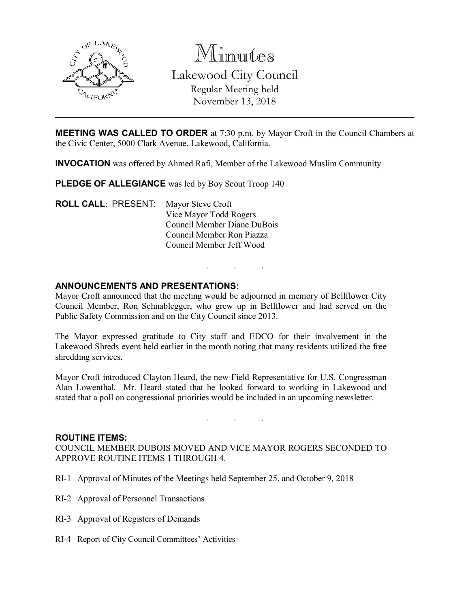

Minutes Lakewood City Council Regular Meeting held November 13, 2018

MEETING WAS CALLED TO ORDER at 7:30 p.m. by Mayor Croft in the Council Chambers at the Civic Center, 5000 Clark Avenue, Lakewood, California.

INVOCATION was offered by Ahmed Rafi, Member of the Lakewood Muslim Community

PLEDGE OF ALLEGIANCE was led by Boy Scout Troop 140

ROLL CALL: PRESENT: Mayor Steve Croft Vice Mayor Todd Rogers Council Member Diane DuBois Council Member Ron Piazza Council Member Jeff Wood

### ANNOUNCEMENTS AND PRESENTATIONS:

Mayor Croft announced that the meeting would be adjourned in memory of Bellflower City Council Member, Ron Schnablegger, who grew up in Bellflower and had served on the Public Safety Commission and on the City Council since 2013.

. . .

The Mayor expressed gratitude to City staff and EDCO for their involvement in the Lakewood Shreds event held earlier in the month noting that many residents utilized the free shredding services.

Mayor Croft introduced Clayton Heard, the new Field Representative for U.S. Congressman Alan Lowenthal. Mr. Heard stated that he looked forward to working in Lakewood and stated that a poll on congressional priorities would be included in an upcoming newsletter.

. . .

#### ROUTINE ITEMS:

COUNCIL MEMBER DUBOIS MOVED AND VICE MAYOR ROGERS SECONDED TO APPROVE ROUTINE ITEMS 1 THROUGH 4.

- RI-1 Approval of Minutes of the Meetings held September 25, and October 9, 2018
- RI-2 Approval of Personnel Transactions
- RI-3 Approval of Registers of Demands
- RI-4 Report of City Council Committees' Activities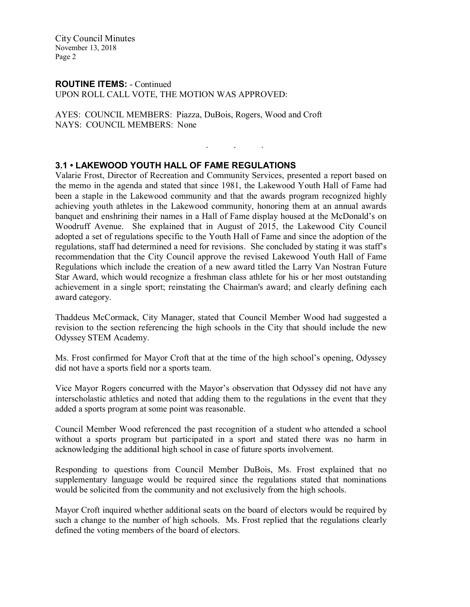City Council Minutes November 13, 2018 Page 2

#### ROUTINE ITEMS: - Continued UPON ROLL CALL VOTE, THE MOTION WAS APPROVED:

AYES: COUNCIL MEMBERS: Piazza, DuBois, Rogers, Wood and Croft NAYS: COUNCIL MEMBERS: None

# 3.1 • LAKEWOOD YOUTH HALL OF FAME REGULATIONS

Valarie Frost, Director of Recreation and Community Services, presented a report based on the memo in the agenda and stated that since 1981, the Lakewood Youth Hall of Fame had been a staple in the Lakewood community and that the awards program recognized highly achieving youth athletes in the Lakewood community, honoring them at an annual awards banquet and enshrining their names in a Hall of Fame display housed at the McDonald's on Woodruff Avenue. She explained that in August of 2015, the Lakewood City Council adopted a set of regulations specific to the Youth Hall of Fame and since the adoption of the regulations, staff had determined a need for revisions. She concluded by stating it was staff's recommendation that the City Council approve the revised Lakewood Youth Hall of Fame Regulations which include the creation of a new award titled the Larry Van Nostran Future Star Award, which would recognize a freshman class athlete for his or her most outstanding achievement in a single sport; reinstating the Chairman's award; and clearly defining each award category.

. . .

Thaddeus McCormack, City Manager, stated that Council Member Wood had suggested a revision to the section referencing the high schools in the City that should include the new Odyssey STEM Academy.

Ms. Frost confirmed for Mayor Croft that at the time of the high school's opening, Odyssey did not have a sports field nor a sports team.

Vice Mayor Rogers concurred with the Mayor's observation that Odyssey did not have any interscholastic athletics and noted that adding them to the regulations in the event that they added a sports program at some point was reasonable.

Council Member Wood referenced the past recognition of a student who attended a school without a sports program but participated in a sport and stated there was no harm in acknowledging the additional high school in case of future sports involvement.

Responding to questions from Council Member DuBois, Ms. Frost explained that no supplementary language would be required since the regulations stated that nominations would be solicited from the community and not exclusively from the high schools.

Mayor Croft inquired whether additional seats on the board of electors would be required by such a change to the number of high schools. Ms. Frost replied that the regulations clearly defined the voting members of the board of electors.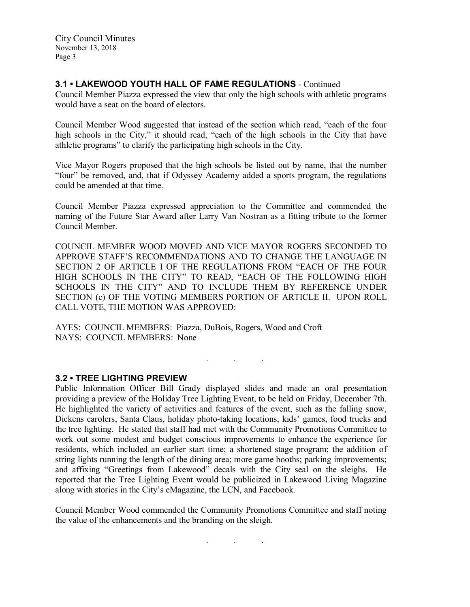City Council Minutes November 13, 2018 Page 3

# 3.1 • LAKEWOOD YOUTH HALL OF FAME REGULATIONS - Continued

Council Member Piazza expressed the view that only the high schools with athletic programs would have a seat on the board of electors.

Council Member Wood suggested that instead of the section which read, "each of the four high schools in the City," it should read, "each of the high schools in the City that have athletic programs" to clarify the participating high schools in the City.

Vice Mayor Rogers proposed that the high schools be listed out by name, that the number "four" be removed, and, that if Odyssey Academy added a sports program, the regulations could be amended at that time.

Council Member Piazza expressed appreciation to the Committee and commended the naming of the Future Star Award after Larry Van Nostran as a fitting tribute to the former Council Member.

COUNCIL MEMBER WOOD MOVED AND VICE MAYOR ROGERS SECONDED TO APPROVE STAFF'S RECOMMENDATIONS AND TO CHANGE THE LANGUAGE IN SECTION 2 OF ARTICLE I OF THE REGULATIONS FROM "EACH OF THE FOUR HIGH SCHOOLS IN THE CITY" TO READ, "EACH OF THE FOLLOWING HIGH SCHOOLS IN THE CITY" AND TO INCLUDE THEM BY REFERENCE UNDER SECTION (c) OF THE VOTING MEMBERS PORTION OF ARTICLE II. UPON ROLL CALL VOTE, THE MOTION WAS APPROVED:

AYES: COUNCIL MEMBERS: Piazza, DuBois, Rogers, Wood and Croft NAYS: COUNCIL MEMBERS: None

### 3.2 • TREE LIGHTING PREVIEW

Public Information Officer Bill Grady displayed slides and made an oral presentation providing a preview of the Holiday Tree Lighting Event, to be held on Friday, December 7th. He highlighted the variety of activities and features of the event, such as the falling snow, Dickens carolers, Santa Claus, holiday photo-taking locations, kids' games, food trucks and the tree lighting. He stated that staff had met with the Community Promotions Committee to work out some modest and budget conscious improvements to enhance the experience for residents, which included an earlier start time; a shortened stage program; the addition of string lights running the length of the dining area; more game booths; parking improvements; and affixing "Greetings from Lakewood" decals with the City seal on the sleighs. He reported that the Tree Lighting Event would be publicized in Lakewood Living Magazine along with stories in the City's eMagazine, the LCN, and Facebook.

 $\mathcal{L}^{\text{max}}_{\text{max}}$  . The  $\mathcal{L}^{\text{max}}_{\text{max}}$ 

Council Member Wood commended the Community Promotions Committee and staff noting the value of the enhancements and the branding on the sleigh.

. . .